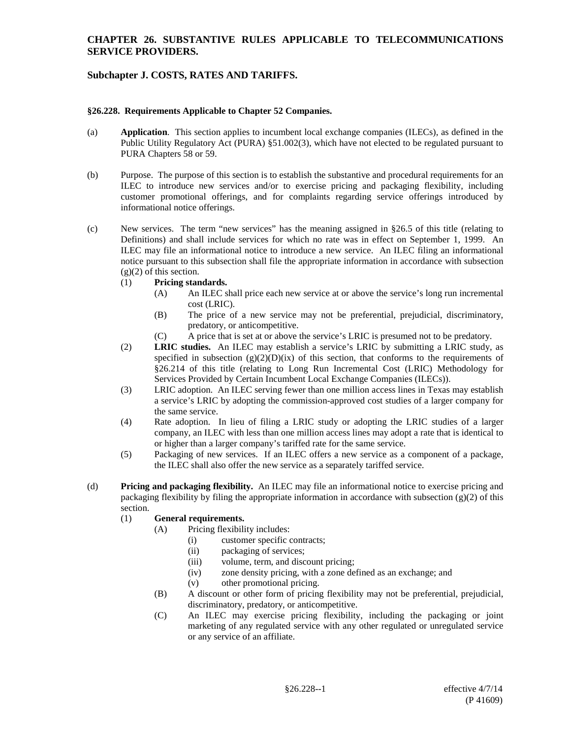# **Subchapter J. COSTS, RATES AND TARIFFS.**

#### **§26.228. Requirements Applicable to Chapter 52 Companies.**

- (a) **Application**. This section applies to incumbent local exchange companies (ILECs), as defined in the Public Utility Regulatory Act (PURA) §51.002(3), which have not elected to be regulated pursuant to PURA Chapters 58 or 59.
- (b) Purpose. The purpose of this section is to establish the substantive and procedural requirements for an ILEC to introduce new services and/or to exercise pricing and packaging flexibility, including customer promotional offerings, and for complaints regarding service offerings introduced by informational notice offerings.
- (c) New services. The term "new services" has the meaning assigned in §26.5 of this title (relating to Definitions) and shall include services for which no rate was in effect on September 1, 1999. An ILEC may file an informational notice to introduce a new service. An ILEC filing an informational notice pursuant to this subsection shall file the appropriate information in accordance with subsection  $(g)(2)$  of this section.
	- (1) **Pricing standards.**
		- (A) An ILEC shall price each new service at or above the service's long run incremental cost (LRIC).
		- (B) The price of a new service may not be preferential, prejudicial, discriminatory, predatory, or anticompetitive.
		- (C) A price that is set at or above the service's LRIC is presumed not to be predatory.
	- (2) **LRIC studies.** An ILEC may establish a service's LRIC by submitting a LRIC study, as specified in subsection  $(g)(2)(D)(ix)$  of this section, that conforms to the requirements of §26.214 of this title (relating to Long Run Incremental Cost (LRIC) Methodology for Services Provided by Certain Incumbent Local Exchange Companies (ILECs)).
	- (3) LRIC adoption. An ILEC serving fewer than one million access lines in Texas may establish a service's LRIC by adopting the commission-approved cost studies of a larger company for the same service.
	- (4) Rate adoption. In lieu of filing a LRIC study or adopting the LRIC studies of a larger company, an ILEC with less than one million access lines may adopt a rate that is identical to or higher than a larger company's tariffed rate for the same service.
	- (5) Packaging of new services. If an ILEC offers a new service as a component of a package, the ILEC shall also offer the new service as a separately tariffed service.
- (d) **Pricing and packaging flexibility.** An ILEC may file an informational notice to exercise pricing and packaging flexibility by filing the appropriate information in accordance with subsection (g)(2) of this section.

#### (1) **General requirements.**

- (A) Pricing flexibility includes:
	- (i) customer specific contracts;
	- (ii) packaging of services;
	- (iii) volume, term, and discount pricing;
	- (iv) zone density pricing, with a zone defined as an exchange; and
	- (v) other promotional pricing.
- (B) A discount or other form of pricing flexibility may not be preferential, prejudicial, discriminatory, predatory, or anticompetitive.
- (C) An ILEC may exercise pricing flexibility, including the packaging or joint marketing of any regulated service with any other regulated or unregulated service or any service of an affiliate.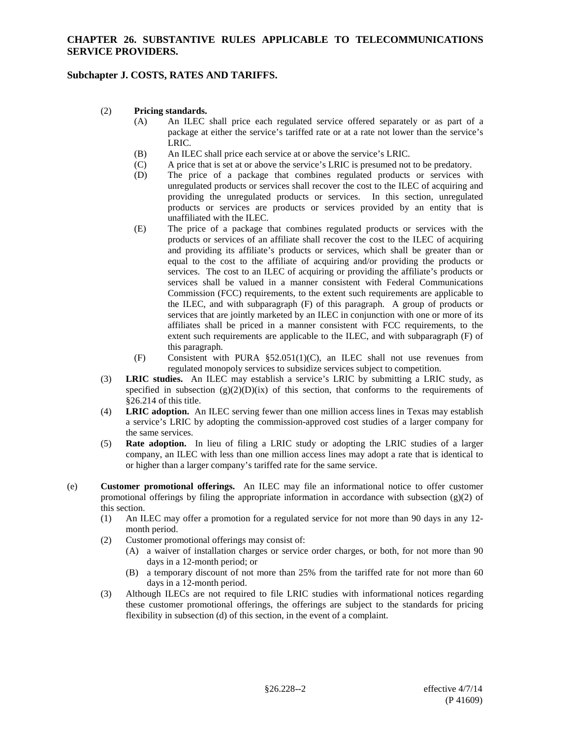# **Subchapter J. COSTS, RATES AND TARIFFS.**

#### (2) **Pricing standards.**

- (A) An ILEC shall price each regulated service offered separately or as part of a package at either the service's tariffed rate or at a rate not lower than the service's LRIC.
- (B) An ILEC shall price each service at or above the service's LRIC.<br>(C) A price that is set at or above the service's LRIC is presumed not
- A price that is set at or above the service's LRIC is presumed not to be predatory.
- (D) The price of a package that combines regulated products or services with unregulated products or services shall recover the cost to the ILEC of acquiring and providing the unregulated products or services. In this section, unregulated products or services are products or services provided by an entity that is unaffiliated with the ILEC.
- (E) The price of a package that combines regulated products or services with the products or services of an affiliate shall recover the cost to the ILEC of acquiring and providing its affiliate's products or services, which shall be greater than or equal to the cost to the affiliate of acquiring and/or providing the products or services. The cost to an ILEC of acquiring or providing the affiliate's products or services shall be valued in a manner consistent with Federal Communications Commission (FCC) requirements, to the extent such requirements are applicable to the ILEC, and with subparagraph (F) of this paragraph. A group of products or services that are jointly marketed by an ILEC in conjunction with one or more of its affiliates shall be priced in a manner consistent with FCC requirements, to the extent such requirements are applicable to the ILEC, and with subparagraph (F) of this paragraph.
- (F) Consistent with PURA §52.051(1)(C), an ILEC shall not use revenues from regulated monopoly services to subsidize services subject to competition.
- (3) **LRIC studies.** An ILEC may establish a service's LRIC by submitting a LRIC study, as specified in subsection  $(g)(2)(D)(ix)$  of this section, that conforms to the requirements of §26.214 of this title.
- (4) **LRIC adoption.** An ILEC serving fewer than one million access lines in Texas may establish a service's LRIC by adopting the commission-approved cost studies of a larger company for the same services.
- (5) **Rate adoption.** In lieu of filing a LRIC study or adopting the LRIC studies of a larger company, an ILEC with less than one million access lines may adopt a rate that is identical to or higher than a larger company's tariffed rate for the same service.
- (e) **Customer promotional offerings.** An ILEC may file an informational notice to offer customer promotional offerings by filing the appropriate information in accordance with subsection  $(g)(2)$  of this section.
	- (1) An ILEC may offer a promotion for a regulated service for not more than 90 days in any 12 month period.
	- (2) Customer promotional offerings may consist of:
		- (A) a waiver of installation charges or service order charges, or both, for not more than 90 days in a 12-month period; or
		- (B) a temporary discount of not more than 25% from the tariffed rate for not more than 60 days in a 12-month period.
	- (3) Although ILECs are not required to file LRIC studies with informational notices regarding these customer promotional offerings, the offerings are subject to the standards for pricing flexibility in subsection (d) of this section, in the event of a complaint.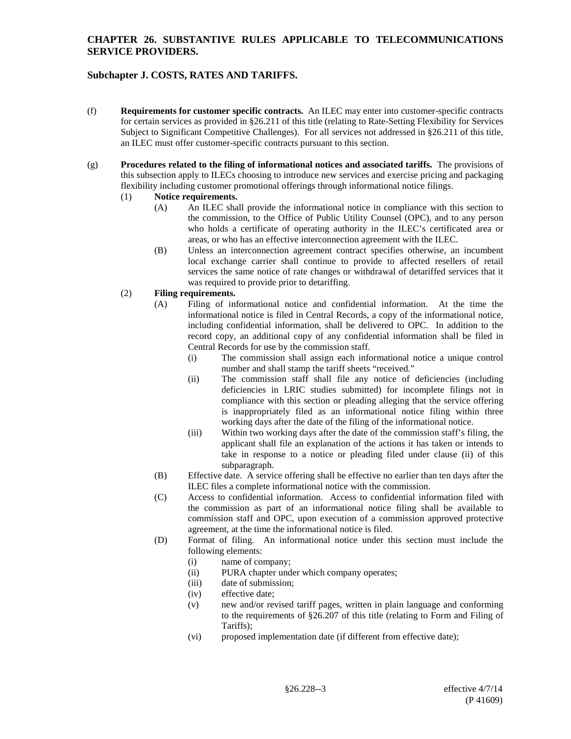# **Subchapter J. COSTS, RATES AND TARIFFS.**

- (f) **Requirements for customer specific contracts.** An ILEC may enter into customer-specific contracts for certain services as provided in §26.211 of this title (relating to Rate-Setting Flexibility for Services Subject to Significant Competitive Challenges). For all services not addressed in §26.211 of this title, an ILEC must offer customer-specific contracts pursuant to this section.
- (g) **Procedures related to the filing of informational notices and associated tariffs.** The provisions of this subsection apply to ILECs choosing to introduce new services and exercise pricing and packaging flexibility including customer promotional offerings through informational notice filings.
	- (1) **Notice requirements.**
		- (A) An ILEC shall provide the informational notice in compliance with this section to the commission, to the Office of Public Utility Counsel (OPC), and to any person who holds a certificate of operating authority in the ILEC's certificated area or areas, or who has an effective interconnection agreement with the ILEC.
		- (B) Unless an interconnection agreement contract specifies otherwise, an incumbent local exchange carrier shall continue to provide to affected resellers of retail services the same notice of rate changes or withdrawal of detariffed services that it was required to provide prior to detariffing.

## (2) **Filing requirements.**

- (A) Filing of informational notice and confidential information. At the time the informational notice is filed in Central Records, a copy of the informational notice, including confidential information, shall be delivered to OPC. In addition to the record copy, an additional copy of any confidential information shall be filed in Central Records for use by the commission staff.
	- (i) The commission shall assign each informational notice a unique control number and shall stamp the tariff sheets "received."
	- (ii) The commission staff shall file any notice of deficiencies (including deficiencies in LRIC studies submitted) for incomplete filings not in compliance with this section or pleading alleging that the service offering is inappropriately filed as an informational notice filing within three working days after the date of the filing of the informational notice.
	- (iii) Within two working days after the date of the commission staff's filing, the applicant shall file an explanation of the actions it has taken or intends to take in response to a notice or pleading filed under clause (ii) of this subparagraph.
- (B) Effective date. A service offering shall be effective no earlier than ten days after the ILEC files a complete informational notice with the commission.
- (C) Access to confidential information. Access to confidential information filed with the commission as part of an informational notice filing shall be available to commission staff and OPC, upon execution of a commission approved protective agreement, at the time the informational notice is filed.
- (D) Format of filing. An informational notice under this section must include the following elements:
	- (i) name of company;
	- (ii) PURA chapter under which company operates;
	- (iii) date of submission;
	- (iv) effective date;
	- (v) new and/or revised tariff pages, written in plain language and conforming to the requirements of §26.207 of this title (relating to Form and Filing of Tariffs);
	- (vi) proposed implementation date (if different from effective date);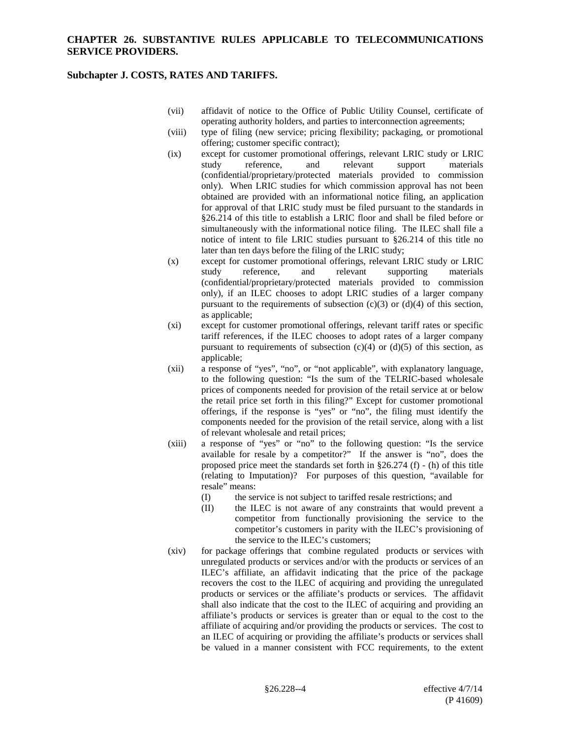## **Subchapter J. COSTS, RATES AND TARIFFS.**

- (vii) affidavit of notice to the Office of Public Utility Counsel, certificate of operating authority holders, and parties to interconnection agreements;
- (viii) type of filing (new service; pricing flexibility; packaging, or promotional offering; customer specific contract);
- (ix) except for customer promotional offerings, relevant LRIC study or LRIC study reference. and relevant support materials study reference, and relevant support materials (confidential/proprietary/protected materials provided to commission only). When LRIC studies for which commission approval has not been obtained are provided with an informational notice filing, an application for approval of that LRIC study must be filed pursuant to the standards in §26.214 of this title to establish a LRIC floor and shall be filed before or simultaneously with the informational notice filing. The ILEC shall file a notice of intent to file LRIC studies pursuant to §26.214 of this title no later than ten days before the filing of the LRIC study;
- (x) except for customer promotional offerings, relevant LRIC study or LRIC study reference, and relevant supporting materials (confidential/proprietary/protected materials provided to commission only), if an ILEC chooses to adopt LRIC studies of a larger company pursuant to the requirements of subsection  $(c)(3)$  or  $(d)(4)$  of this section, as applicable;
- (xi) except for customer promotional offerings, relevant tariff rates or specific tariff references, if the ILEC chooses to adopt rates of a larger company pursuant to requirements of subsection  $(c)(4)$  or  $(d)(5)$  of this section, as applicable;
- (xii) a response of "yes", "no", or "not applicable", with explanatory language, to the following question: "Is the sum of the TELRIC-based wholesale prices of components needed for provision of the retail service at or below the retail price set forth in this filing?" Except for customer promotional offerings, if the response is "yes" or "no", the filing must identify the components needed for the provision of the retail service, along with a list of relevant wholesale and retail prices;
- (xiii) a response of "yes" or "no" to the following question: "Is the service available for resale by a competitor?" If the answer is "no", does the proposed price meet the standards set forth in §26.274 (f) - (h) of this title (relating to Imputation)? For purposes of this question, "available for resale" means:
	- (I) the service is not subject to tariffed resale restrictions; and
	- (II) the ILEC is not aware of any constraints that would prevent a competitor from functionally provisioning the service to the competitor's customers in parity with the ILEC's provisioning of the service to the ILEC's customers;
- (xiv) for package offerings that combine regulated products or services with unregulated products or services and/or with the products or services of an ILEC's affiliate, an affidavit indicating that the price of the package recovers the cost to the ILEC of acquiring and providing the unregulated products or services or the affiliate's products or services. The affidavit shall also indicate that the cost to the ILEC of acquiring and providing an affiliate's products or services is greater than or equal to the cost to the affiliate of acquiring and/or providing the products or services. The cost to an ILEC of acquiring or providing the affiliate's products or services shall be valued in a manner consistent with FCC requirements, to the extent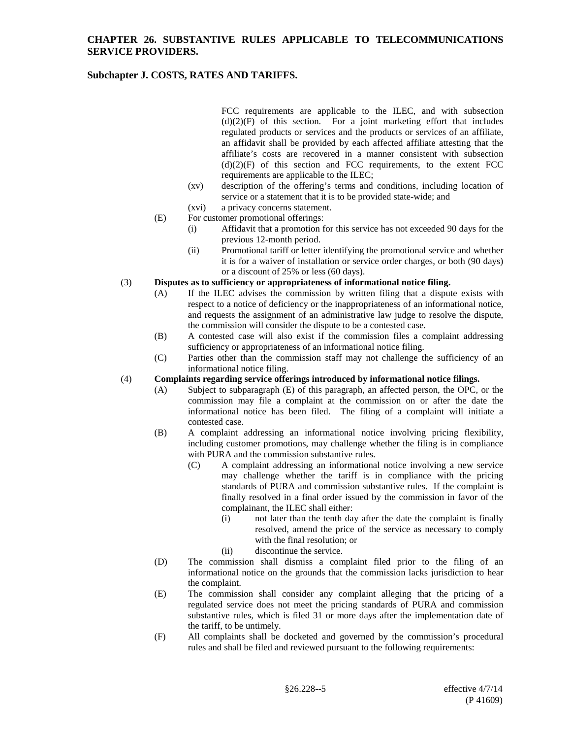# **Subchapter J. COSTS, RATES AND TARIFFS.**

FCC requirements are applicable to the ILEC, and with subsection  $(d)(2)(F)$  of this section. For a joint marketing effort that includes regulated products or services and the products or services of an affiliate, an affidavit shall be provided by each affected affiliate attesting that the affiliate's costs are recovered in a manner consistent with subsection  $(d)(2)(F)$  of this section and FCC requirements, to the extent FCC requirements are applicable to the ILEC;

- (xv) description of the offering's terms and conditions, including location of service or a statement that it is to be provided state-wide; and
- (xvi) a privacy concerns statement.
- (E) For customer promotional offerings:
	- (i) Affidavit that a promotion for this service has not exceeded 90 days for the previous 12-month period.
	- (ii) Promotional tariff or letter identifying the promotional service and whether it is for a waiver of installation or service order charges, or both (90 days) or a discount of 25% or less (60 days).

#### (3) **Disputes as to sufficiency or appropriateness of informational notice filing.**

- (A) If the ILEC advises the commission by written filing that a dispute exists with respect to a notice of deficiency or the inappropriateness of an informational notice, and requests the assignment of an administrative law judge to resolve the dispute, the commission will consider the dispute to be a contested case.
- (B) A contested case will also exist if the commission files a complaint addressing sufficiency or appropriateness of an informational notice filing.
- (C) Parties other than the commission staff may not challenge the sufficiency of an informational notice filing.

#### (4) **Complaints regarding service offerings introduced by informational notice filings.**

- (A) Subject to subparagraph (E) of this paragraph, an affected person, the OPC, or the commission may file a complaint at the commission on or after the date the informational notice has been filed. The filing of a complaint will initiate a contested case.
- (B) A complaint addressing an informational notice involving pricing flexibility, including customer promotions, may challenge whether the filing is in compliance with PURA and the commission substantive rules.
	- (C) A complaint addressing an informational notice involving a new service may challenge whether the tariff is in compliance with the pricing standards of PURA and commission substantive rules. If the complaint is finally resolved in a final order issued by the commission in favor of the complainant, the ILEC shall either:
		- (i) not later than the tenth day after the date the complaint is finally resolved, amend the price of the service as necessary to comply with the final resolution; or
		- (ii) discontinue the service.
- (D) The commission shall dismiss a complaint filed prior to the filing of an informational notice on the grounds that the commission lacks jurisdiction to hear the complaint.
- (E) The commission shall consider any complaint alleging that the pricing of a regulated service does not meet the pricing standards of PURA and commission substantive rules, which is filed 31 or more days after the implementation date of the tariff, to be untimely.
- (F) All complaints shall be docketed and governed by the commission's procedural rules and shall be filed and reviewed pursuant to the following requirements: